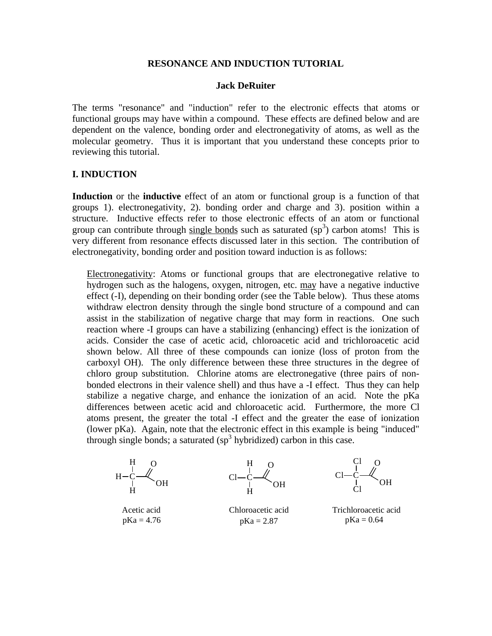### **RESONANCE AND INDUCTION TUTORIAL**

### **Jack DeRuiter**

The terms "resonance" and "induction" refer to the electronic effects that atoms or functional groups may have within a compound. These effects are defined below and are dependent on the valence, bonding order and electronegativity of atoms, as well as the molecular geometry. Thus it is important that you understand these concepts prior to reviewing this tutorial.

### **I. INDUCTION**

**Induction** or the **inductive** effect of an atom or functional group is a function of that groups 1). electronegativity, 2). bonding order and charge and 3). position within a structure. Inductive effects refer to those electronic effects of an atom or functional group can contribute through  $\frac{\text{single bonds}}{\text{such as saturated}}$  (sp<sup>3</sup>) carbon atoms! This is very different from resonance effects discussed later in this section. The contribution of electronegativity, bonding order and position toward induction is as follows:

Electronegativity: Atoms or functional groups that are electronegative relative to hydrogen such as the halogens, oxygen, nitrogen, etc. may have a negative inductive effect (-I), depending on their bonding order (see the Table below). Thus these atoms withdraw electron density through the single bond structure of a compound and can assist in the stabilization of negative charge that may form in reactions. One such reaction where -I groups can have a stabilizing (enhancing) effect is the ionization of acids. Consider the case of acetic acid, chloroacetic acid and trichloroacetic acid shown below. All three of these compounds can ionize (loss of proton from the carboxyl OH). The only difference between these three structures in the degree of chloro group substitution. Chlorine atoms are electronegative (three pairs of nonbonded electrons in their valence shell) and thus have a -I effect. Thus they can help stabilize a negative charge, and enhance the ionization of an acid. Note the pKa differences between acetic acid and chloroacetic acid. Furthermore, the more Cl atoms present, the greater the total -I effect and the greater the ease of ionization (lower pKa). Again, note that the electronic effect in this example is being "induced" through single bonds; a saturated  $(sp<sup>3</sup>$  hybridized) carbon in this case.

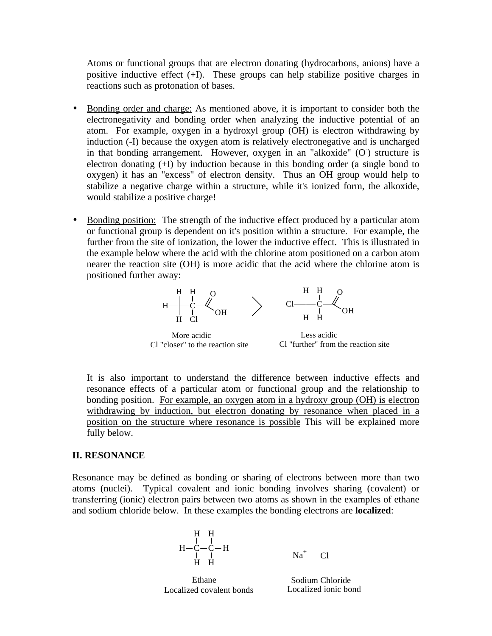Atoms or functional groups that are electron donating (hydrocarbons, anions) have a positive inductive effect  $(+1)$ . These groups can help stabilize positive charges in reactions such as protonation of bases.

- Bonding order and charge: As mentioned above, it is important to consider both the electronegativity and bonding order when analyzing the inductive potential of an atom. For example, oxygen in a hydroxyl group (OH) is electron withdrawing by induction (-I) because the oxygen atom is relatively electronegative and is uncharged in that bonding arrangement. However, oxygen in an "alkoxide" (O) structure is electron donating (+I) by induction because in this bonding order (a single bond to oxygen) it has an "excess" of electron density. Thus an OH group would help to stabilize a negative charge within a structure, while it's ionized form, the alkoxide, would stabilize a positive charge!
- Bonding position: The strength of the inductive effect produced by a particular atom or functional group is dependent on it's position within a structure. For example, the further from the site of ionization, the lower the inductive effect. This is illustrated in the example below where the acid with the chlorine atom positioned on a carbon atom nearer the reaction site (OH) is more acidic that the acid where the chlorine atom is positioned further away:



It is also important to understand the difference between inductive effects and resonance effects of a particular atom or functional group and the relationship to bonding position. For example, an oxygen atom in a hydroxy group (OH) is electron withdrawing by induction, but electron donating by resonance when placed in a position on the structure where resonance is possible This will be explained more fully below.

## **II. RESONANCE**

Resonance may be defined as bonding or sharing of electrons between more than two atoms (nuclei). Typical covalent and ionic bonding involves sharing (covalent) or transferring (ionic) electron pairs between two atoms as shown in the examples of ethane and sodium chloride below. In these examples the bonding electrons are **localized**:

$$
H H H - C - C - H
$$
  
\n
$$
H H - C - C - H
$$
  
\n
$$
H H
$$
  
\n
$$
Na^{\text{+}} - Cl
$$

Localized covalent bonds Localized ionic bond

Ethane Sodium Chloride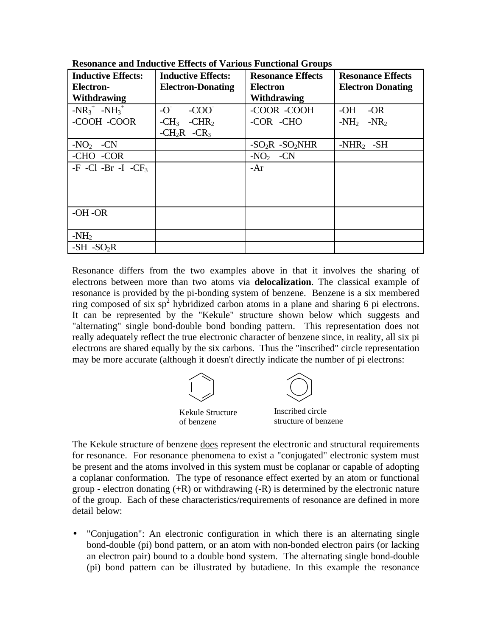| <b>Inductive Effects:</b>               | <b>Inductive Effects:</b> | <b>Resonance Effects</b>     | <b>Resonance Effects</b> |
|-----------------------------------------|---------------------------|------------------------------|--------------------------|
| <b>Electron-</b>                        | <b>Electron-Donating</b>  | <b>Electron</b>              | <b>Electron Donating</b> |
| <b>Withdrawing</b>                      |                           | Withdrawing                  |                          |
| $-NR_3^+$ -NH <sub>3</sub> <sup>+</sup> | $-C$<br>$-COO2$           | -COOR -COOH                  | $-OH$<br>$-OR$           |
| -COOH -COOR                             | $-CHR2$<br>$-CH3$         | -COR -CHO                    | $-NH_2$ $-NR_2$          |
|                                         | $-CH_2R$ $-CR_3$          |                              |                          |
| $-NO2$<br>$-CN$                         |                           | $-SO2R$ -SO <sub>2</sub> NHR | $-NHR2 - SH$             |
| -CHO -COR                               |                           | $-NO2$ -CN                   |                          |
| $-F$ -Cl -Br -I -CF <sub>3</sub>        |                           | -Ar                          |                          |
|                                         |                           |                              |                          |
|                                         |                           |                              |                          |
|                                         |                           |                              |                          |
| $-OH$ -OR                               |                           |                              |                          |
|                                         |                           |                              |                          |
| $-NH2$                                  |                           |                              |                          |
| $-SH$ $-SO2R$                           |                           |                              |                          |

**Resonance and Inductive Effects of Various Functional Groups**

Resonance differs from the two examples above in that it involves the sharing of electrons between more than two atoms via **delocalization**. The classical example of resonance is provided by the pi-bonding system of benzene. Benzene is a six membered ring composed of six  $sp^2$  hybridized carbon atoms in a plane and sharing 6 pi electrons. It can be represented by the "Kekule" structure shown below which suggests and "alternating" single bond-double bond bonding pattern. This representation does not really adequately reflect the true electronic character of benzene since, in reality, all six pi electrons are shared equally by the six carbons. Thus the "inscribed" circle representation may be more accurate (although it doesn't directly indicate the number of pi electrons:



The Kekule structure of benzene does represent the electronic and structural requirements for resonance. For resonance phenomena to exist a "conjugated" electronic system must be present and the atoms involved in this system must be coplanar or capable of adopting a coplanar conformation. The type of resonance effect exerted by an atom or functional group - electron donating  $(+R)$  or withdrawing  $(-R)$  is determined by the electronic nature of the group. Each of these characteristics/requirements of resonance are defined in more detail below:

• "Conjugation": An electronic configuration in which there is an alternating single bond-double (pi) bond pattern, or an atom with non-bonded electron pairs (or lacking an electron pair) bound to a double bond system. The alternating single bond-double (pi) bond pattern can be illustrated by butadiene. In this example the resonance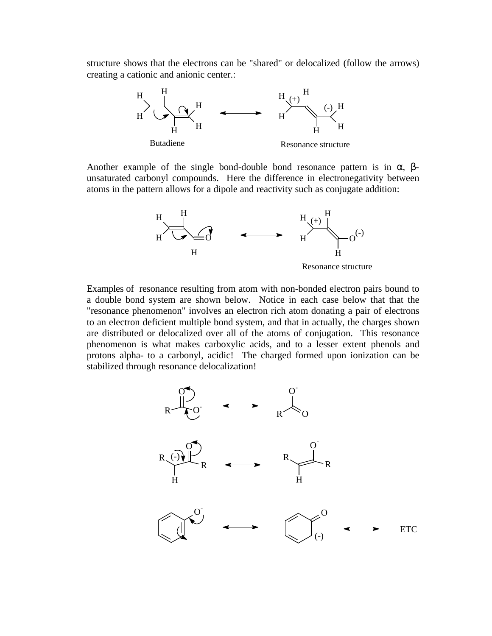structure shows that the electrons can be "shared" or delocalized (follow the arrows) creating a cationic and anionic center.:



Another example of the single bond-double bond resonance pattern is in  $\alpha$ ,  $\beta$ unsaturated carbonyl compounds. Here the difference in electronegativity between atoms in the pattern allows for a dipole and reactivity such as conjugate addition:



Examples of resonance resulting from atom with non-bonded electron pairs bound to a double bond system are shown below. Notice in each case below that that the "resonance phenomenon" involves an electron rich atom donating a pair of electrons to an electron deficient multiple bond system, and that in actually, the charges shown are distributed or delocalized over all of the atoms of conjugation. This resonance phenomenon is what makes carboxylic acids, and to a lesser extent phenols and protons alpha- to a carbonyl, acidic! The charged formed upon ionization can be stabilized through resonance delocalization!

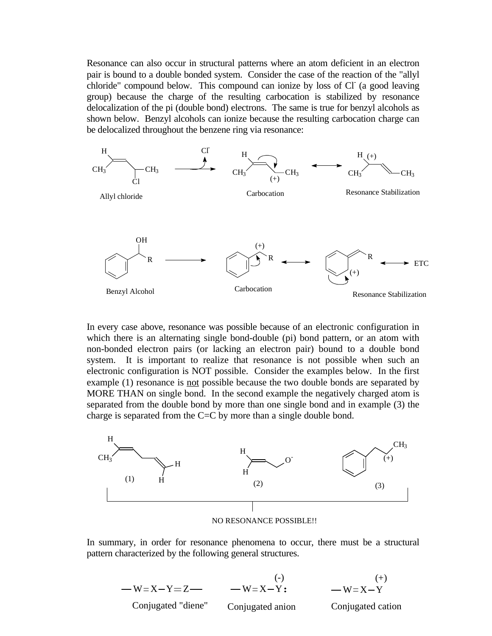Resonance can also occur in structural patterns where an atom deficient in an electron pair is bound to a double bonded system. Consider the case of the reaction of the "allyl chloride" compound below. This compound can ionize by loss of Cl (a good leaving group) because the charge of the resulting carbocation is stabilized by resonance delocalization of the pi (double bond) electrons. The same is true for benzyl alcohols as shown below. Benzyl alcohols can ionize because the resulting carbocation charge can be delocalized throughout the benzene ring via resonance:



In every case above, resonance was possible because of an electronic configuration in which there is an alternating single bond-double (pi) bond pattern, or an atom with non-bonded electron pairs (or lacking an electron pair) bound to a double bond system. It is important to realize that resonance is not possible when such an electronic configuration is NOT possible. Consider the examples below. In the first example (1) resonance is not possible because the two double bonds are separated by MORE THAN on single bond. In the second example the negatively charged atom is separated from the double bond by more than one single bond and in example (3) the charge is separated from the C=C by more than a single double bond.



In summary, in order for resonance phenomena to occur, there must be a structural pattern characterized by the following general structures.

$$
-W=X-Y=Z
$$
\n
$$
-W=X-Y
$$
\nConjugated "diene" Conjugated anion  
\nConjugated *ext*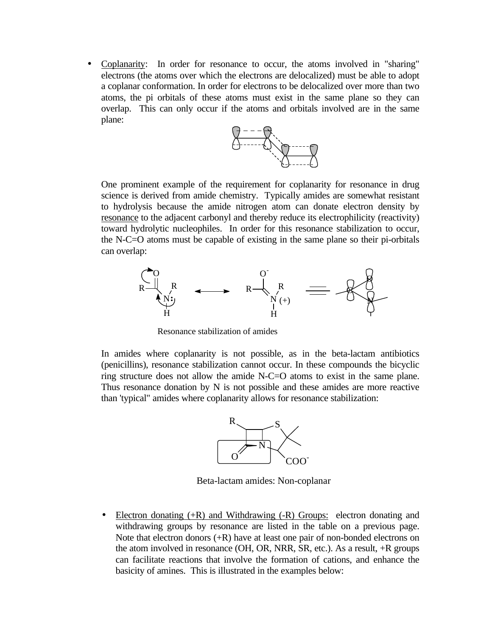• Coplanarity: In order for resonance to occur, the atoms involved in "sharing" electrons (the atoms over which the electrons are delocalized) must be able to adopt a coplanar conformation. In order for electrons to be delocalized over more than two atoms, the pi orbitals of these atoms must exist in the same plane so they can overlap. This can only occur if the atoms and orbitals involved are in the same plane:



One prominent example of the requirement for coplanarity for resonance in drug science is derived from amide chemistry. Typically amides are somewhat resistant to hydrolysis because the amide nitrogen atom can donate electron density by resonance to the adjacent carbonyl and thereby reduce its electrophilicity (reactivity) toward hydrolytic nucleophiles. In order for this resonance stabilization to occur, the N-C=O atoms must be capable of existing in the same plane so their pi-orbitals can overlap:



Resonance stabilization of amides

In amides where coplanarity is not possible, as in the beta-lactam antibiotics (penicillins), resonance stabilization cannot occur. In these compounds the bicyclic ring structure does not allow the amide N-C=O atoms to exist in the same plane. Thus resonance donation by N is not possible and these amides are more reactive than 'typical" amides where coplanarity allows for resonance stabilization:



Beta-lactam amides: Non-coplanar

• Electron donating (+R) and Withdrawing (-R) Groups: electron donating and withdrawing groups by resonance are listed in the table on a previous page. Note that electron donors  $(+R)$  have at least one pair of non-bonded electrons on the atom involved in resonance (OH, OR, NRR, SR, etc.). As a result, +R groups can facilitate reactions that involve the formation of cations, and enhance the basicity of amines. This is illustrated in the examples below: